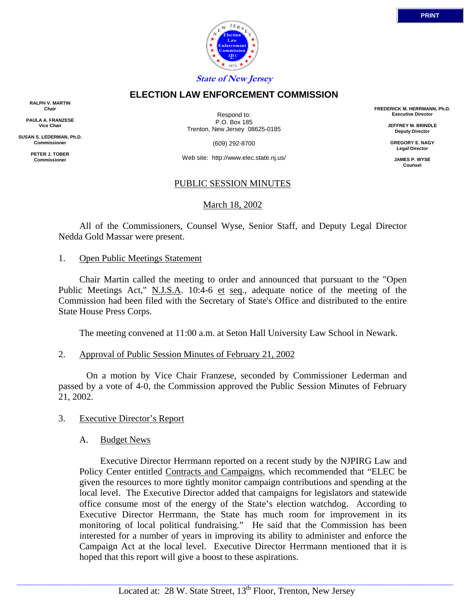

# **ELECTION LAW ENFORCEMENT COMMISSION**

**RALPH V. MARTIN Chair**

**PAULA A. FRANZESE Vice Chair**

**SUSAN S. LEDERMAN, Ph.D. Commissioner**

> **PETER J. TOBER Commissioner**

Respond to: P.O. Box 185 Trenton, New Jersey 08625-0185

(609) 292-8700

Web site: http://www.elec.state.nj.us/

# PUBLIC SESSION MINUTES

# March 18, 2002

 All of the Commissioners, Counsel Wyse, Senior Staff, and Deputy Legal Director Nedda Gold Massar were present.

### 1. Open Public Meetings Statement

 Chair Martin called the meeting to order and announced that pursuant to the "Open Public Meetings Act," N.J.S.A. 10:4-6 et seq., adequate notice of the meeting of the Commission had been filed with the Secretary of State's Office and distributed to the entire State House Press Corps.

The meeting convened at 11:00 a.m. at Seton Hall University Law School in Newark.

### 2. Approval of Public Session Minutes of February 21, 2002

 On a motion by Vice Chair Franzese, seconded by Commissioner Lederman and passed by a vote of 4-0, the Commission approved the Public Session Minutes of February 21, 2002.

### 3. Executive Director's Report

### A. Budget News

 Executive Director Herrmann reported on a recent study by the NJPIRG Law and Policy Center entitled Contracts and Campaigns, which recommended that "ELEC be given the resources to more tightly monitor campaign contributions and spending at the local level. The Executive Director added that campaigns for legislators and statewide office consume most of the energy of the State's election watchdog. According to Executive Director Herrmann, the State has much room for improvement in its monitoring of local political fundraising." He said that the Commission has been interested for a number of years in improving its ability to administer and enforce the Campaign Act at the local level. Executive Director Herrmann mentioned that it is hoped that this report will give a boost to these aspirations.

**FREDERICK M. HERRMANN, Ph.D. Executive Director JEFFREY M. BRINDLE Deputy Director GREGORY E. NAGY Legal Director JAMES P. WYSE Counsel**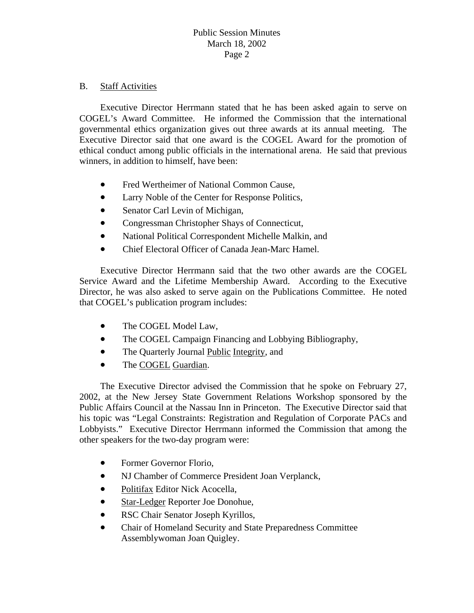# B. Staff Activities

 Executive Director Herrmann stated that he has been asked again to serve on COGEL's Award Committee. He informed the Commission that the international governmental ethics organization gives out three awards at its annual meeting. The Executive Director said that one award is the COGEL Award for the promotion of ethical conduct among public officials in the international arena. He said that previous winners, in addition to himself, have been:

- Fred Wertheimer of National Common Cause,
- Larry Noble of the Center for Response Politics,
- Senator Carl Levin of Michigan,
- Congressman Christopher Shays of Connecticut,
- National Political Correspondent Michelle Malkin, and
- Chief Electoral Officer of Canada Jean-Marc Hamel.

Director, he was also asked to serve again on the Publications Committee. He noted that COGEL's publication program includes: Executive Director Herrmann said that the two other awards are the COGEL Service Award and the Lifetime Membership Award. According to the Executive

- The COGEL Model Law,
- The COGEL Campaign Financing and Lobbying Bibliography,
- The Quarterly Journal Public Integrity, and
- The COGEL Guardian.

 The Executive Director advised the Commission that he spoke on February 27, 2002, at the New Jersey State Government Relations Workshop sponsored by the Public Affairs Council at the Nassau Inn in Princeton. The Executive Director said that his topic was "Legal Constraints: Registration and Regulation of Corporate PACs and Lobbyists." Executive Director Herrmann informed the Commission that among the other speakers for the two-day program were:

- Former Governor Florio,
- NJ Chamber of Commerce President Joan Verplanck,
- Politifax Editor Nick Acocella,
- Star-Ledger Reporter Joe Donohue,
- RSC Chair Senator Joseph Kyrillos,
- Chair of Homeland Security and State Preparedness Committee Assemblywoman Joan Quigley.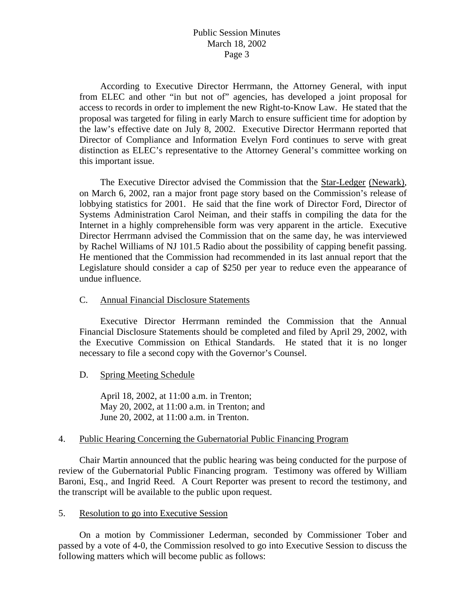# Public Session Minutes March 18, 2002 Page 3

 According to Executive Director Herrmann, the Attorney General, with input from ELEC and other "in but not of" agencies, has developed a joint proposal for access to records in order to implement the new Right-to-Know Law. He stated that the proposal was targeted for filing in early March to ensure sufficient time for adoption by the law's effective date on July 8, 2002. Executive Director Herrmann reported that Director of Compliance and Information Evelyn Ford continues to serve with great distinction as ELEC's representative to the Attorney General's committee working on this important issue.

 The Executive Director advised the Commission that the Star-Ledger (Newark), on March 6, 2002, ran a major front page story based on the Commission's release of lobbying statistics for 2001. He said that the fine work of Director Ford, Director of Systems Administration Carol Neiman, and their staffs in compiling the data for the Internet in a highly comprehensible form was very apparent in the article. Executive Director Herrmann advised the Commission that on the same day, he was interviewed by Rachel Williams of NJ 101.5 Radio about the possibility of capping benefit passing. He mentioned that the Commission had recommended in its last annual report that the Legislature should consider a cap of \$250 per year to reduce even the appearance of undue influence.

### C. Annual Financial Disclosure Statements

 Executive Director Herrmann reminded the Commission that the Annual Financial Disclosure Statements should be completed and filed by April 29, 2002, with the Executive Commission on Ethical Standards. He stated that it is no longer necessary to file a second copy with the Governor's Counsel.

# D. Spring Meeting Schedule

 April 18, 2002, at 11:00 a.m. in Trenton; May 20, 2002, at 11:00 a.m. in Trenton; and June 20, 2002, at 11:00 a.m. in Trenton.

# 4. Public Hearing Concerning the Gubernatorial Public Financing Program

 Chair Martin announced that the public hearing was being conducted for the purpose of review of the Gubernatorial Public Financing program. Testimony was offered by William Baroni, Esq., and Ingrid Reed. A Court Reporter was present to record the testimony, and the transcript will be available to the public upon request.

### 5. Resolution to go into Executive Session

 On a motion by Commissioner Lederman, seconded by Commissioner Tober and passed by a vote of 4-0, the Commission resolved to go into Executive Session to discuss the following matters which will become public as follows: